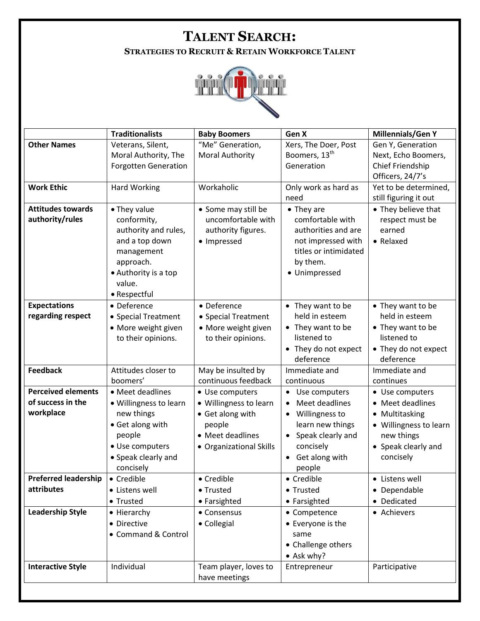## **TALENT SEARCH:**

**STRATEGIES TO RECRUIT & RETAIN WORKFORCE TALENT**



|                                             | <b>Traditionalists</b>              | <b>Baby Boomers</b>                       | Gen X                                  | <b>Millennials/Gen Y</b>               |
|---------------------------------------------|-------------------------------------|-------------------------------------------|----------------------------------------|----------------------------------------|
| <b>Other Names</b>                          | Veterans, Silent,                   | "Me" Generation,                          | Xers, The Doer, Post                   | Gen Y, Generation                      |
|                                             | Moral Authority, The                | <b>Moral Authority</b>                    | Boomers, 13 <sup>th</sup>              | Next, Echo Boomers,                    |
|                                             | <b>Forgotten Generation</b>         |                                           | Generation                             | Chief Friendship                       |
|                                             |                                     |                                           |                                        | Officers, 24/7's                       |
| <b>Work Ethic</b>                           | Hard Working                        | Workaholic                                | Only work as hard as                   | Yet to be determined,                  |
|                                             |                                     |                                           | need                                   | still figuring it out                  |
| <b>Attitudes towards</b><br>authority/rules | • They value                        | • Some may still be<br>uncomfortable with | $\bullet$ They are<br>comfortable with | • They believe that<br>respect must be |
|                                             | conformity,<br>authority and rules, | authority figures.                        | authorities and are                    | earned                                 |
|                                             | and a top down                      | • Impressed                               | not impressed with                     | • Relaxed                              |
|                                             | management                          |                                           | titles or intimidated                  |                                        |
|                                             | approach.                           |                                           | by them.                               |                                        |
|                                             | • Authority is a top                |                                           | · Unimpressed                          |                                        |
|                                             | value.                              |                                           |                                        |                                        |
|                                             | • Respectful                        |                                           |                                        |                                        |
| <b>Expectations</b>                         | • Deference                         | • Deference                               | • They want to be                      | • They want to be                      |
| regarding respect                           | • Special Treatment                 | • Special Treatment                       | held in esteem                         | held in esteem                         |
|                                             | • More weight given                 | • More weight given                       | • They want to be                      | • They want to be                      |
|                                             | to their opinions.                  | to their opinions.                        | listened to                            | listened to                            |
|                                             |                                     |                                           | • They do not expect                   | • They do not expect                   |
|                                             |                                     |                                           | deference                              | deference                              |
| <b>Feedback</b>                             | Attitudes closer to                 | May be insulted by                        | Immediate and                          | Immediate and                          |
|                                             | boomers'                            | continuous feedback                       | continuous                             | continues                              |
| <b>Perceived elements</b>                   | • Meet deadlines                    | • Use computers                           | Use computers                          | • Use computers                        |
| of success in the                           | • Willingness to learn              | · Willingness to learn                    | Meet deadlines                         | • Meet deadlines                       |
| workplace                                   | new things                          | • Get along with                          | Willingness to<br>$\bullet$            | • Multitasking                         |
|                                             | • Get along with                    | people                                    | learn new things                       | • Willingness to learn                 |
|                                             | people                              | • Meet deadlines                          | Speak clearly and<br>$\bullet$         | new things                             |
|                                             | · Use computers                     | • Organizational Skills                   | concisely                              | • Speak clearly and                    |
|                                             | • Speak clearly and<br>concisely    |                                           | Get along with                         | concisely                              |
| <b>Preferred leadership</b>                 | • Credible                          | • Credible                                | people<br>• Credible                   | • Listens well                         |
| attributes                                  | • Listens well                      | • Trusted                                 | • Trusted                              | • Dependable                           |
|                                             | • Trusted                           | • Farsighted                              | • Farsighted                           | • Dedicated                            |
| <b>Leadership Style</b>                     | • Hierarchy                         | • Consensus                               | • Competence                           | • Achievers                            |
|                                             | • Directive                         | • Collegial                               | • Everyone is the                      |                                        |
|                                             | • Command & Control                 |                                           | same                                   |                                        |
|                                             |                                     |                                           | • Challenge others                     |                                        |
|                                             |                                     |                                           | • Ask why?                             |                                        |
| <b>Interactive Style</b>                    | Individual                          | Team player, loves to                     | Entrepreneur                           | Participative                          |
|                                             |                                     | have meetings                             |                                        |                                        |
|                                             |                                     |                                           |                                        |                                        |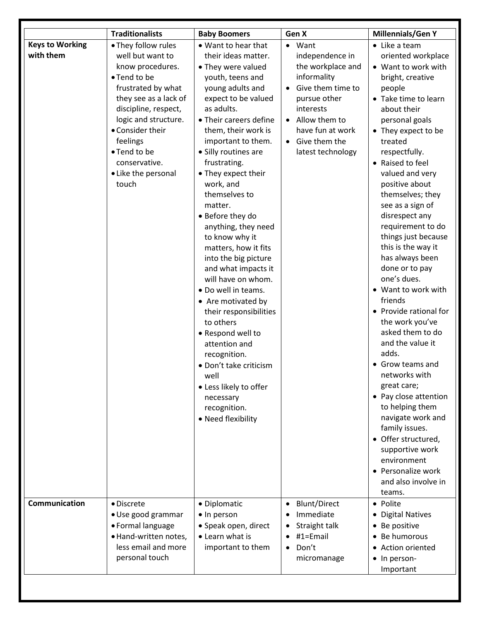|                        | <b>Traditionalists</b> | <b>Baby Boomers</b>                       | Gen X                            | <b>Millennials/Gen Y</b>      |
|------------------------|------------------------|-------------------------------------------|----------------------------------|-------------------------------|
| <b>Keys to Working</b> | • They follow rules    | • Want to hear that                       | Want                             | • Like a team                 |
| with them              | well but want to       | their ideas matter.                       | independence in                  | oriented workplace            |
|                        | know procedures.       | • They were valued                        | the workplace and                | • Want to work with           |
|                        | • Tend to be           | youth, teens and                          | informality                      | bright, creative              |
|                        | frustrated by what     | young adults and                          | Give them time to                | people                        |
|                        | they see as a lack of  | expect to be valued                       | pursue other                     | • Take time to learn          |
|                        | discipline, respect,   | as adults.                                | interests                        | about their                   |
|                        | logic and structure.   | • Their careers define                    | Allow them to<br>$\bullet$       | personal goals                |
|                        | • Consider their       | them, their work is                       | have fun at work                 | • They expect to be           |
|                        | feelings               | important to them.                        | Give them the                    | treated                       |
|                        | • Tend to be           | • Silly routines are                      | latest technology                | respectfully.                 |
|                        | conservative.          | frustrating.                              |                                  | • Raised to feel              |
|                        | • Like the personal    | • They expect their                       |                                  | valued and very               |
|                        | touch                  | work, and                                 |                                  | positive about                |
|                        |                        | themselves to                             |                                  | themselves; they              |
|                        |                        | matter.                                   |                                  | see as a sign of              |
|                        |                        | • Before they do                          |                                  | disrespect any                |
|                        |                        | anything, they need                       |                                  | requirement to do             |
|                        |                        | to know why it                            |                                  | things just because           |
|                        |                        | matters, how it fits                      |                                  | this is the way it            |
|                        |                        | into the big picture                      |                                  | has always been               |
|                        |                        | and what impacts it<br>will have on whom. |                                  | done or to pay<br>one's dues. |
|                        |                        |                                           |                                  | • Want to work with           |
|                        |                        | · Do well in teams.                       |                                  | friends                       |
|                        |                        | • Are motivated by                        |                                  | • Provide rational for        |
|                        |                        | their responsibilities                    |                                  | the work you've               |
|                        |                        | to others<br>• Respond well to            |                                  | asked them to do              |
|                        |                        | attention and                             |                                  | and the value it              |
|                        |                        | recognition.                              |                                  | adds.                         |
|                        |                        | · Don't take criticism                    |                                  | • Grow teams and              |
|                        |                        | well                                      |                                  | networks with                 |
|                        |                        | • Less likely to offer                    |                                  | great care;                   |
|                        |                        | necessary                                 |                                  | • Pay close attention         |
|                        |                        | recognition.                              |                                  | to helping them               |
|                        |                        | • Need flexibility                        |                                  | navigate work and             |
|                        |                        |                                           |                                  | family issues.                |
|                        |                        |                                           |                                  | • Offer structured,           |
|                        |                        |                                           |                                  | supportive work               |
|                        |                        |                                           |                                  | environment                   |
|                        |                        |                                           |                                  | • Personalize work            |
|                        |                        |                                           |                                  | and also involve in           |
|                        |                        |                                           |                                  | teams.                        |
| Communication          | • Discrete             | • Diplomatic                              | <b>Blunt/Direct</b><br>$\bullet$ | • Polite                      |
|                        | · Use good grammar     | • In person                               | Immediate                        | • Digital Natives             |
|                        | • Formal language      | • Speak open, direct                      | Straight talk                    | • Be positive                 |
|                        | · Hand-written notes,  | • Learn what is                           | #1=Email                         | • Be humorous                 |
|                        | less email and more    | important to them                         | Don't<br>$\bullet$               | • Action oriented             |
|                        | personal touch         |                                           | micromanage                      | • In person-                  |
|                        |                        |                                           |                                  | Important                     |
|                        |                        |                                           |                                  |                               |